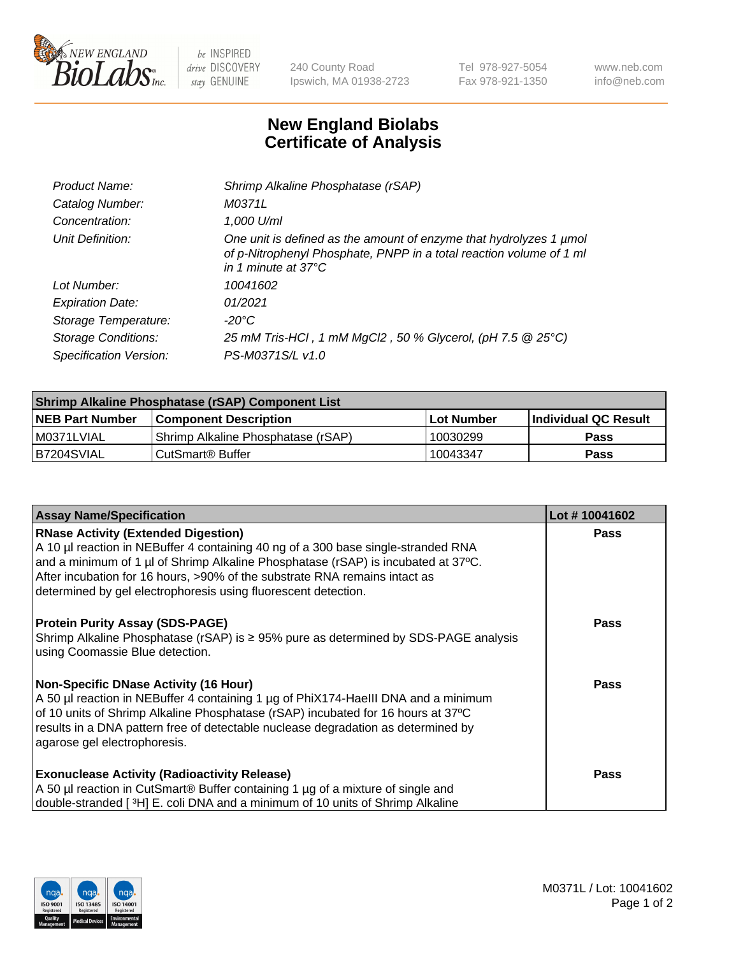

 $be$  INSPIRED drive DISCOVERY stay GENUINE

240 County Road Ipswich, MA 01938-2723 Tel 978-927-5054 Fax 978-921-1350 www.neb.com info@neb.com

## **New England Biolabs Certificate of Analysis**

| Product Name:              | Shrimp Alkaline Phosphatase (rSAP)                                                                                                                                         |
|----------------------------|----------------------------------------------------------------------------------------------------------------------------------------------------------------------------|
| Catalog Number:            | M0371L                                                                                                                                                                     |
| Concentration:             | 1,000 U/ml                                                                                                                                                                 |
| Unit Definition:           | One unit is defined as the amount of enzyme that hydrolyzes 1 µmol<br>of p-Nitrophenyl Phosphate, PNPP in a total reaction volume of 1 ml<br>in 1 minute at $37^{\circ}$ C |
| Lot Number:                | 10041602                                                                                                                                                                   |
| <b>Expiration Date:</b>    | 01/2021                                                                                                                                                                    |
| Storage Temperature:       | $-20^{\circ}$ C                                                                                                                                                            |
| <b>Storage Conditions:</b> | 25 mM Tris-HCl, 1 mM MgCl2, 50 % Glycerol, (pH 7.5 @ 25°C)                                                                                                                 |
| Specification Version:     | PS-M0371S/L v1.0                                                                                                                                                           |

| Shrimp Alkaline Phosphatase (rSAP) Component List |                                    |             |                      |  |
|---------------------------------------------------|------------------------------------|-------------|----------------------|--|
| <b>NEB Part Number</b>                            | <b>Component Description</b>       | ∣Lot Number | Individual QC Result |  |
| I M0371LVIAL                                      | Shrimp Alkaline Phosphatase (rSAP) | 10030299    | Pass                 |  |
| B7204SVIAL                                        | l CutSmart® Buffer                 | 10043347    | Pass                 |  |

| <b>Assay Name/Specification</b>                                                                                                                                                                                                                                                                                                                                      | Lot #10041602 |
|----------------------------------------------------------------------------------------------------------------------------------------------------------------------------------------------------------------------------------------------------------------------------------------------------------------------------------------------------------------------|---------------|
| <b>RNase Activity (Extended Digestion)</b><br>A 10 µl reaction in NEBuffer 4 containing 40 ng of a 300 base single-stranded RNA<br>and a minimum of 1 µl of Shrimp Alkaline Phosphatase (rSAP) is incubated at 37°C.<br>After incubation for 16 hours, >90% of the substrate RNA remains intact as<br>determined by gel electrophoresis using fluorescent detection. | <b>Pass</b>   |
| <b>Protein Purity Assay (SDS-PAGE)</b><br>Shrimp Alkaline Phosphatase (rSAP) is ≥ 95% pure as determined by SDS-PAGE analysis<br>using Coomassie Blue detection.                                                                                                                                                                                                     | <b>Pass</b>   |
| <b>Non-Specific DNase Activity (16 Hour)</b><br>A 50 µl reaction in NEBuffer 4 containing 1 µg of PhiX174-Haelll DNA and a minimum<br>of 10 units of Shrimp Alkaline Phosphatase (rSAP) incubated for 16 hours at 37°C<br>results in a DNA pattern free of detectable nuclease degradation as determined by<br>agarose gel electrophoresis.                          | <b>Pass</b>   |
| <b>Exonuclease Activity (Radioactivity Release)</b><br>A 50 µl reaction in CutSmart® Buffer containing 1 µg of a mixture of single and<br>double-stranded [ <sup>3</sup> H] E. coli DNA and a minimum of 10 units of Shrimp Alkaline                                                                                                                                 | Pass          |